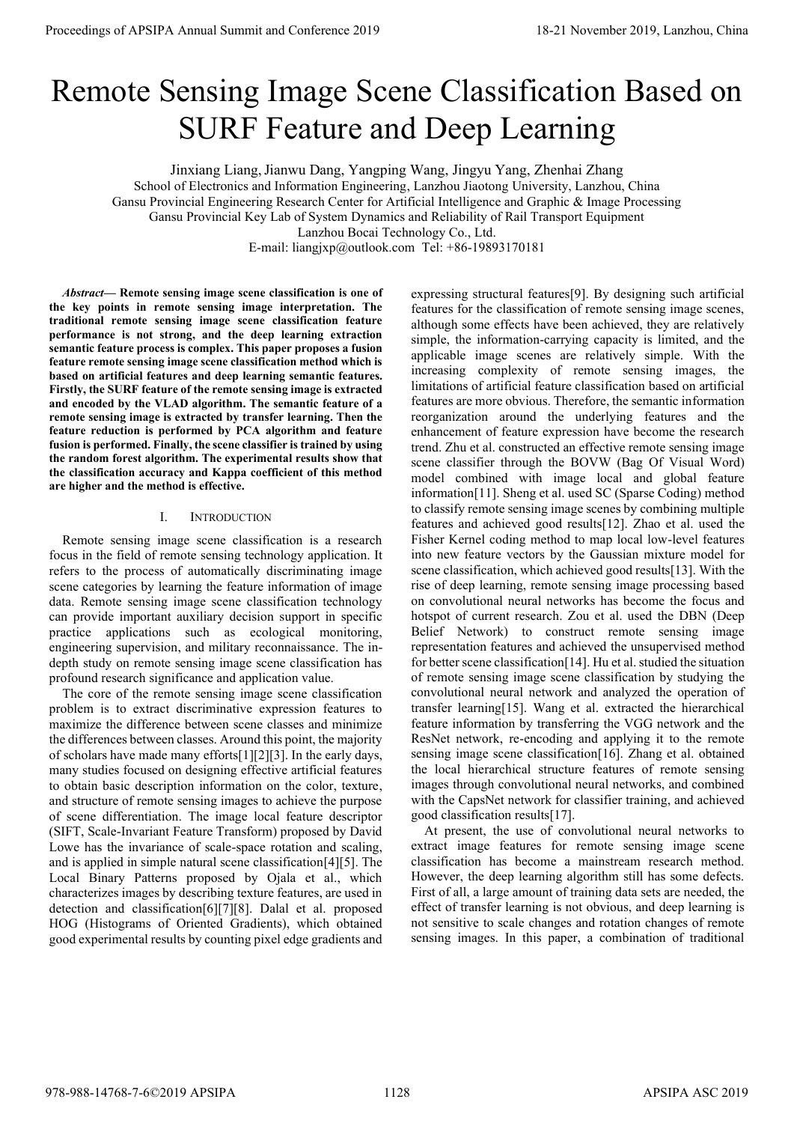# Remote Sensing Image Scene Classification Based on SURF Feature and Deep Learning

Jinxiang Liang,Jianwu Dang, Yangping Wang, Jingyu Yang, Zhenhai Zhang School of Electronics and Information Engineering, Lanzhou Jiaotong University, Lanzhou, China Gansu Provincial Engineering Research Center for Artificial Intelligence and Graphic & Image Processing Gansu Provincial Key Lab of System Dynamics and Reliability of Rail Transport Equipment Lanzhou Bocai Technology Co., Ltd. E-mail: liangjxp@outlook.com Tel: +86-19893170181

*Abstract***— Remote sensing image scene classification is one of the key points in remote sensing image interpretation. The traditional remote sensing image scene classification feature performance is not strong, and the deep learning extraction semantic feature process is complex. This paper proposes a fusion feature remote sensing image scene classification method which is based on artificial features and deep learning semantic features. Firstly, the SURF feature of the remote sensing image is extracted and encoded by the VLAD algorithm. The semantic feature of a remote sensing image is extracted by transfer learning. Then the feature reduction is performed by PCA algorithm and feature fusion is performed. Finally, the scene classifier is trained by using the random forest algorithm. The experimental results show that the classification accuracy and Kappa coefficient of this method are higher and the method is effective.**

### I. INTRODUCTION

Remote sensing image scene classification is a research focus in the field of remote sensing technology application. It refers to the process of automatically discriminating image scene categories by learning the feature information of image data. Remote sensing image scene classification technology can provide important auxiliary decision support in specific practice applications such as ecological monitoring, engineering supervision, and military reconnaissance. The indepth study on remote sensing image scene classification has profound research significance and application value.

The core of the remote sensing image scene classification problem is to extract discriminative expression features to maximize the difference between scene classes and minimize the differences between classes. Around this point, the majority of scholars have made many efforts[1][2][3]. In the early days, many studies focused on designing effective artificial features to obtain basic description information on the color, texture, and structure of remote sensing images to achieve the purpose of scene differentiation. The image local feature descriptor (SIFT, Scale-Invariant Feature Transform) proposed by David Lowe has the invariance of scale-space rotation and scaling, and is applied in simple natural scene classification[4][5]. The Local Binary Patterns proposed by Ojala et al., which characterizes images by describing texture features, are used in detection and classification[6][7][8]. Dalal et al. proposed HOG (Histograms of Oriented Gradients), which obtained good experimental results by counting pixel edge gradients and

expressing structural features[9]. By designing such artificial features for the classification of remote sensing image scenes, although some effects have been achieved, they are relatively simple, the information-carrying capacity is limited, and the applicable image scenes are relatively simple. With the increasing complexity of remote sensing images, the limitations of artificial feature classification based on artificial features are more obvious. Therefore, the semantic information reorganization around the underlying features and the enhancement of feature expression have become the research trend. Zhu et al. constructed an effective remote sensing image scene classifier through the BOVW (Bag Of Visual Word) model combined with image local and global feature information[11]. Sheng et al. used SC (Sparse Coding) method to classify remote sensing image scenes by combining multiple features and achieved good results[12]. Zhao et al. used the Fisher Kernel coding method to map local low-level features into new feature vectors by the Gaussian mixture model for scene classification, which achieved good results[13]. With the rise of deep learning, remote sensing image processing based on convolutional neural networks has become the focus and hotspot of current research. Zou et al. used the DBN (Deep Belief Network) to construct remote sensing image representation features and achieved the unsupervised method for better scene classification[14]. Hu et al. studied the situation of remote sensing image scene classification by studying the convolutional neural network and analyzed the operation of transfer learning[15]. Wang et al. extracted the hierarchical feature information by transferring the VGG network and the ResNet network, re-encoding and applying it to the remote sensing image scene classification[16]. Zhang et al. obtained the local hierarchical structure features of remote sensing images through convolutional neural networks, and combined with the CapsNet network for classifier training, and achieved good classification results[17]. **Proceedings of APSIPA Annual Summit and Conference 2019**<br> **Removed ESSI Annual Summit and December 2019**<br> **SURF Feature and December 2020 CORE CLASSIFICATION BASES APS CAN ART CONFERENCE AND CONFERENCE AND CONFERENCE AND** 

At present, the use of convolutional neural networks to extract image features for remote sensing image scene classification has become a mainstream research method. However, the deep learning algorithm still has some defects. First of all, a large amount of training data sets are needed, the effect of transfer learning is not obvious, and deep learning is not sensitive to scale changes and rotation changes of remote sensing images. In this paper, a combination of traditional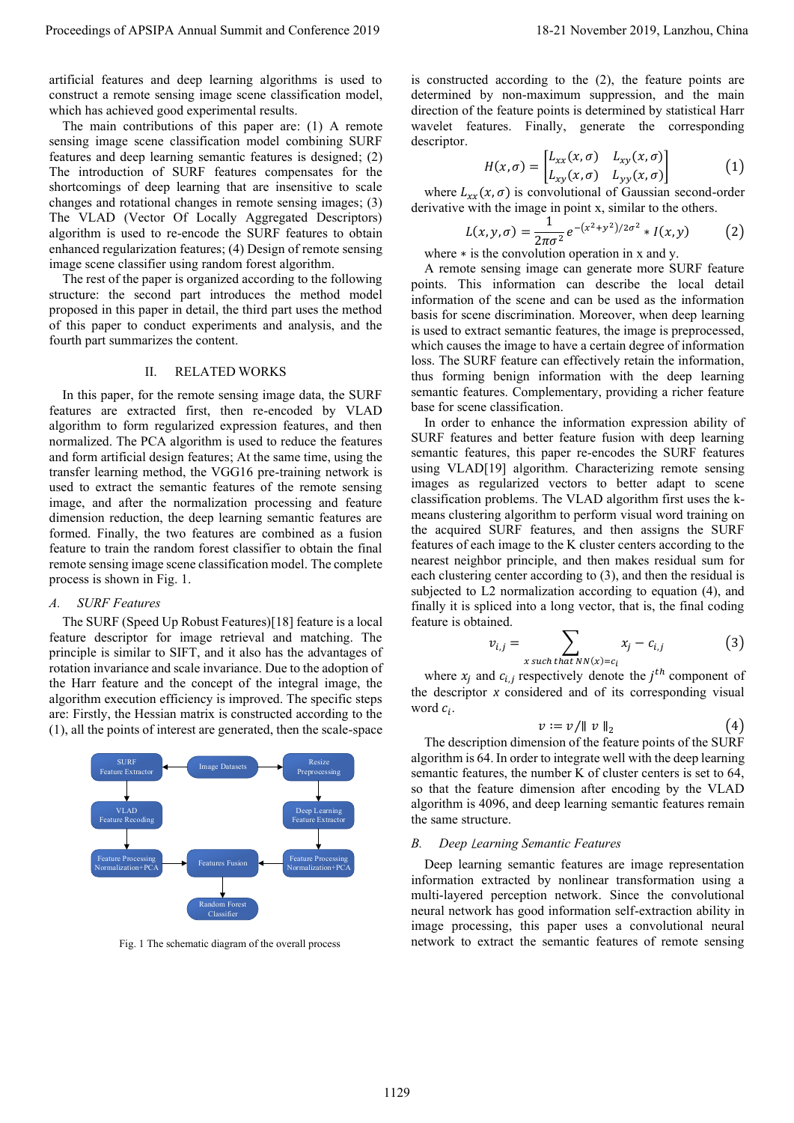artificial features and deep learning algorithms is used to construct a remote sensing image scene classification model, which has achieved good experimental results.

The main contributions of this paper are: (1) A remote sensing image scene classification model combining SURF features and deep learning semantic features is designed; (2) The introduction of SURF features compensates for the shortcomings of deep learning that are insensitive to scale changes and rotational changes in remote sensing images; (3) The VLAD (Vector Of Locally Aggregated Descriptors) algorithm is used to re-encode the SURF features to obtain enhanced regularization features; (4) Design of remote sensing image scene classifier using random forest algorithm.

The rest of the paper is organized according to the following structure: the second part introduces the method model proposed in this paper in detail, the third part uses the method of this paper to conduct experiments and analysis, and the fourth part summarizes the content.

# II. RELATED WORKS

In this paper, for the remote sensing image data, the SURF features are extracted first, then re-encoded by VLAD algorithm to form regularized expression features, and then normalized. The PCA algorithm is used to reduce the features and form artificial design features; At the same time, using the transfer learning method, the VGG16 pre-training network is used to extract the semantic features of the remote sensing image, and after the normalization processing and feature dimension reduction, the deep learning semantic features are formed. Finally, the two features are combined as a fusion feature to train the random forest classifier to obtain the final remote sensing image scene classification model. The complete process is shown in [Fig. 1.](#page-1-0)

## *A. SURF Features*

The SURF (Speed Up Robust Features[\)\[18\]](#page-5-11) feature is a local feature descriptor for image retrieval and matching. The principle is similar to SIFT, and it also has the advantages of rotation invariance and scale invariance. Due to the adoption of the Harr feature and the concept of the integral image, the algorithm execution efficiency is improved. The specific steps are: Firstly, the Hessian matrix is constructed according to the (1), all the points of interest are generated, then the scale-space



<span id="page-1-0"></span>Fig. 1 The schematic diagram of the overall process

is constructed according to the (2), the feature points are determined by non-maximum suppression, and the main direction of the feature points is determined by statistical Harr wavelet features. Finally, generate the corresponding descriptor.

$$
H(x,\sigma) = \begin{bmatrix} L_{xx}(x,\sigma) & L_{xy}(x,\sigma) \\ L_{xy}(x,\sigma) & L_{yy}(x,\sigma) \end{bmatrix}
$$
 (1)

where  $L_{xx}(x, \sigma)$  is convolutional of Gaussian second-order derivative with the image in point x, similar to the others.

$$
L(x, y, \sigma) = \frac{1}{2\pi\sigma^2} e^{-(x^2 + y^2)/2\sigma^2} * I(x, y)
$$
 (2)

where ∗ is the convolution operation in x and y.

A remote sensing image can generate more SURF feature points. This information can describe the local detail information of the scene and can be used as the information basis for scene discrimination. Moreover, when deep learning is used to extract semantic features, the image is preprocessed, which causes the image to have a certain degree of information loss. The SURF feature can effectively retain the information, thus forming benign information with the deep learning semantic features. Complementary, providing a richer feature base for scene classification.

In order to enhance the information expression ability of SURF features and better feature fusion with deep learning semantic features, this paper re-encodes the SURF features using VLAD[19] algorithm. Characterizing remote sensing images as regularized vectors to better adapt to scene classification problems. The VLAD algorithm first uses the kmeans clustering algorithm to perform visual word training on the acquired SURF features, and then assigns the SURF features of each image to the K cluster centers according to the nearest neighbor principle, and then makes residual sum for each clustering center according to (3), and then the residual is subjected to L2 normalization according to equation (4), and finally it is spliced into a long vector, that is, the final coding feature is obtained. Proceedings of APSIPA Annual Summit at the Summit and Results and Results and Results and Results and Results and Results and Results and Results and Results and Results are also the Summit and Results and Results are als

$$
v_{i,j} = \sum_{x \text{ such that } NN(x) = c_i} x_j - c_{i,j} \tag{3}
$$

where  $x_j$  and  $c_{i,j}$  respectively denote the  $j^{th}$  component of the descriptor *x* considered and of its corresponding visual word  $c_i$ .

$$
v := v / \|\ v \,\|_2 \tag{4}
$$

The description dimension of the feature points of the SURF algorithm is 64. In order to integrate well with the deep learning semantic features, the number K of cluster centers is set to 64, so that the feature dimension after encoding by the VLAD algorithm is 4096, and deep learning semantic features remain the same structure.

#### *B. Deep* L*earning Semantic Features*

Deep learning semantic features are image representation information extracted by nonlinear transformation using a multi-layered perception network. Since the convolutional neural network has good information self-extraction ability in image processing, this paper uses a convolutional neural network to extract the semantic features of remote sensing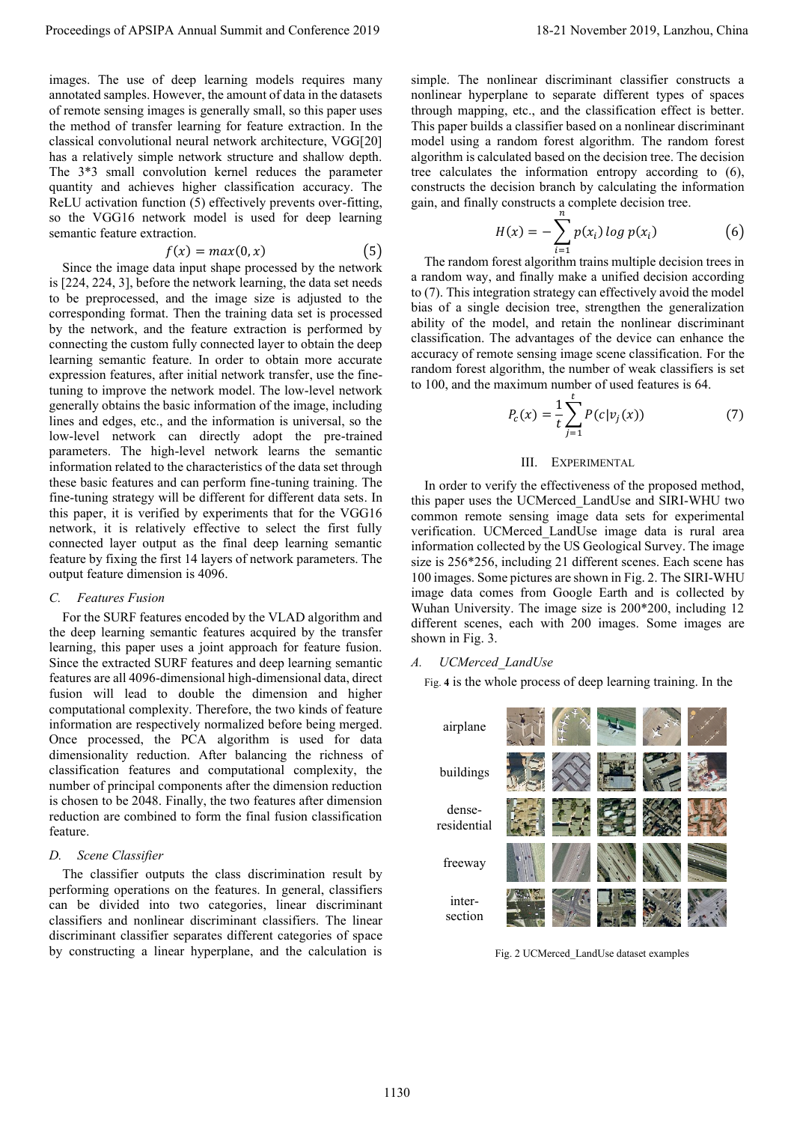images. The use of deep learning models requires many annotated samples. However, the amount of data in the datasets of remote sensing images is generally small, so this paper uses the method of transfer learning for feature extraction. In the classical convolutional neural network architecture, VGG[20] has a relatively simple network structure and shallow depth. The 3\*3 small convolution kernel reduces the parameter quantity and achieves higher classification accuracy. The ReLU activation function (5) effectively prevents over-fitting, so the VGG16 network model is used for deep learning semantic feature extraction.

$$
f(x) = max(0, x) \tag{5}
$$

Since the image data input shape processed by the network is [224, 224, 3], before the network learning, the data set needs to be preprocessed, and the image size is adjusted to the corresponding format. Then the training data set is processed by the network, and the feature extraction is performed by connecting the custom fully connected layer to obtain the deep learning semantic feature. In order to obtain more accurate expression features, after initial network transfer, use the finetuning to improve the network model. The low-level network generally obtains the basic information of the image, including lines and edges, etc., and the information is universal, so the low-level network can directly adopt the pre-trained parameters. The high-level network learns the semantic information related to the characteristics of the data set through these basic features and can perform fine-tuning training. The fine-tuning strategy will be different for different data sets. In this paper, it is verified by experiments that for the VGG16 network, it is relatively effective to select the first fully connected layer output as the final deep learning semantic feature by fixing the first 14 layers of network parameters. The output feature dimension is 4096. Proceeding of APSIPA Annual Summit and Conference 2019<br>
In the conference 2019 18-21 November 2019 18-21 November 2019 18-21 November 2019 18-21 November 2019 18-21 November 2019 18-21 November 2019 18-21 November 2019 18

#### *C. Features Fusion*

For the SURF features encoded by the VLAD algorithm and the deep learning semantic features acquired by the transfer learning, this paper uses a joint approach for feature fusion. Since the extracted SURF features and deep learning semantic features are all 4096-dimensional high-dimensional data, direct fusion will lead to double the dimension and higher computational complexity. Therefore, the two kinds of feature information are respectively normalized before being merged. Once processed, the PCA algorithm is used for data dimensionality reduction. After balancing the richness of classification features and computational complexity, the number of principal components after the dimension reduction is chosen to be 2048. Finally, the two features after dimension reduction are combined to form the final fusion classification feature.

#### *D. Scene Classifier*

The classifier outputs the class discrimination result by performing operations on the features. In general, classifiers can be divided into two categories, linear discriminant classifiers and nonlinear discriminant classifiers. The linear discriminant classifier separates different categories of space by constructing a linear hyperplane, and the calculation is simple. The nonlinear discriminant classifier constructs a nonlinear hyperplane to separate different types of spaces through mapping, etc., and the classification effect is better. This paper builds a classifier based on a nonlinear discriminant model using a random forest algorithm. The random forest algorithm is calculated based on the decision tree. The decision tree calculates the information entropy according to (6), constructs the decision branch by calculating the information gain, and finally constructs a complete decision tree.

$$
H(x) = -\sum_{i=1}^{N} p(x_i) \log p(x_i) \tag{6}
$$

The random forest algorithm trains multiple decision trees in a random way, and finally make a unified decision according to (7). This integration strategy can effectively avoid the model bias of a single decision tree, strengthen the generalization ability of the model, and retain the nonlinear discriminant classification. The advantages of the device can enhance the accuracy of remote sensing image scene classification. For the random forest algorithm, the number of weak classifiers is set to 100, and the maximum number of used features is 64.

$$
P_c(x) = \frac{1}{t} \sum_{j=1}^{t} P(c|v_j(x))
$$
 (7)

#### III. EXPERIMENTAL.

In order to verify the effectiveness of the proposed method, this paper uses the UCMerced\_LandUse and SIRI-WHU two common remote sensing image data sets for experimental verification. UCMerced\_LandUse image data is rural area information collected by the US Geological Survey. The image size is 256\*256, including 21 different scenes. Each scene has 100 images. Some pictures are shown in Fig. 2. The SIRI-WHU image data comes from Google Earth and is collected by Wuhan University. The image size is 200\*200, including 12 different scenes, each with 200 images. Some images are shown in Fig. 3.

#### *A. UCMerced\_LandUse*

Fig. **4** is the whole process of deep learning training. In the

<span id="page-2-0"></span>

Fig. 2 UCMerced\_LandUse dataset examples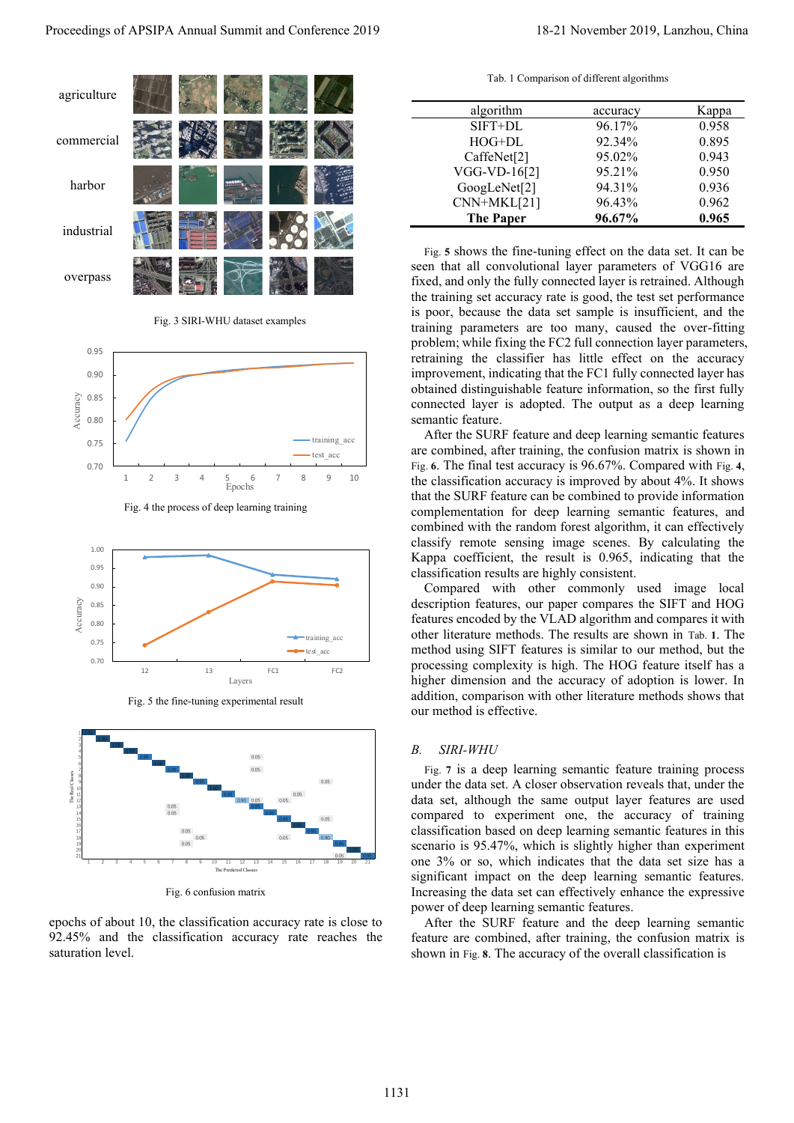

<span id="page-3-0"></span>

Fig. 3 SIRI-WHU dataset examples



<span id="page-3-1"></span>



<span id="page-3-2"></span>

Fig. 6 confusion matrix

<span id="page-3-3"></span>epochs of about 10, the classification accuracy rate is close to 92.45% and the classification accuracy rate reaches the saturation level.

Tab. 1 Comparison of different algorithms

<span id="page-3-4"></span>

| algorithm        | accuracy | Kappa |
|------------------|----------|-------|
| SIFT+DL          | 96.17%   | 0.958 |
| $HOG+DL$         | 92.34%   | 0.895 |
| CaffeNet[2]      | 95.02%   | 0.943 |
| VGG-VD-16[2]     | 95.21%   | 0.950 |
| GoogLeNet[2]     | 94.31%   | 0.936 |
| CNN+MKL[21]      | 96.43%   | 0.962 |
| <b>The Paper</b> | 96.67%   | 0.965 |

Fig. **5** shows the fine-tuning effect on the data set. It can be seen that all convolutional layer parameters of VGG16 are fixed, and only the fully connected layer is retrained. Although the training set accuracy rate is good, the test set performance is poor, because the data set sample is insufficient, and the training parameters are too many, caused the over-fitting problem; while fixing the FC2 full connection layer parameters, retraining the classifier has little effect on the accuracy improvement, indicating that the FC1 fully connected layer has obtained distinguishable feature information, so the first fully connected layer is adopted. The output as a deep learning semantic feature.

After the SURF feature and deep learning semantic features are combined, after training, the confusion matrix is shown in Fig. **6**. The final test accuracy is 96.67%. Compared with Fig. **4**, the classification accuracy is improved by about 4%. It shows that the SURF feature can be combined to provide information complementation for deep learning semantic features, and combined with the random forest algorithm, it can effectively classify remote sensing image scenes. By calculating the Kappa coefficient, the result is 0.965, indicating that the classification results are highly consistent.

Compared with other commonly used image local description features, our paper compares the SIFT and HOG features encoded by the VLAD algorithm and compares it with other literature methods. The results are shown in Tab. **1**. The method using SIFT features is similar to our method, but the processing complexity is high. The HOG feature itself has a higher dimension and the accuracy of adoption is lower. In addition, comparison with other literature methods shows that our method is effective.

#### *B. SIRI-WHU*

Fig. **7** is a deep learning semantic feature training process under the data set. A closer observation reveals that, under the data set, although the same output layer features are used compared to experiment one, the accuracy of training classification based on deep learning semantic features in this scenario is 95.47%, which is slightly higher than experiment one 3% or so, which indicates that the data set size has a significant impact on the deep learning semantic features. Increasing the data set can effectively enhance the expressive power of deep learning semantic features.

After the SURF feature and the deep learning semantic feature are combined, after training, the confusion matrix is shown in Fig. **8**. The accuracy of the overall classification is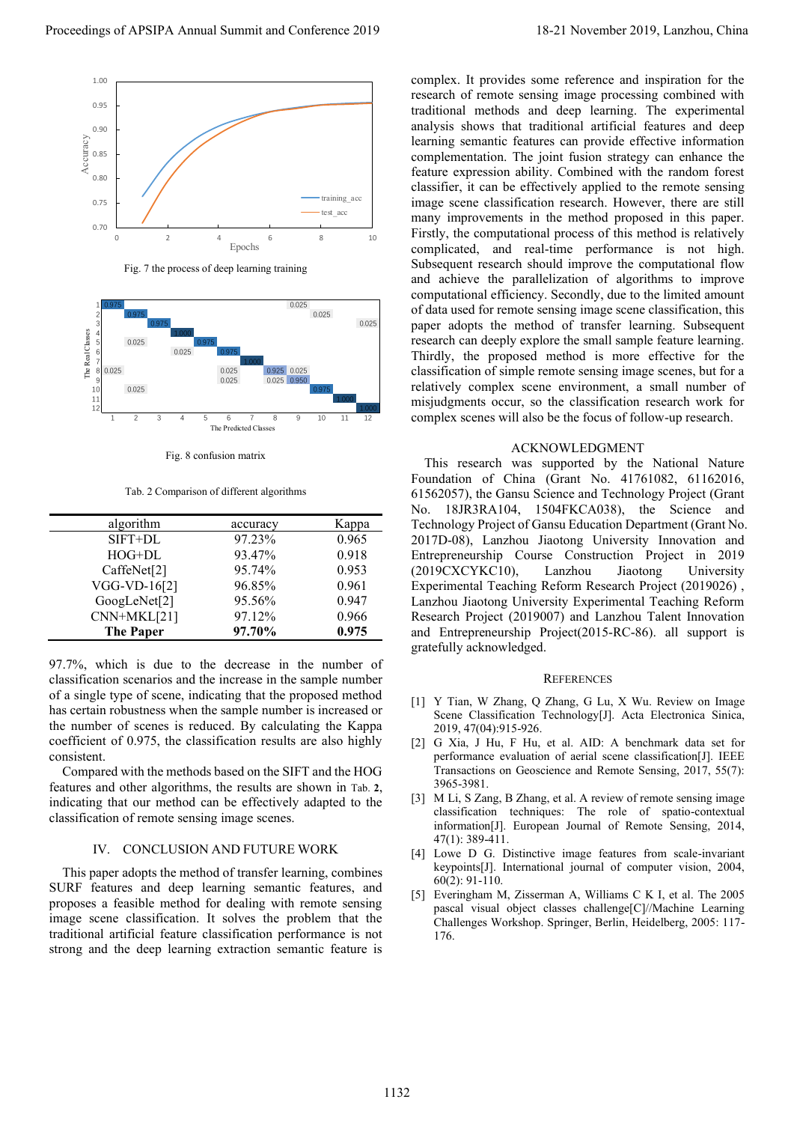



<span id="page-4-5"></span>

Fig. 8 confusion matrix

Tab. 2 Comparison of different algorithms

<span id="page-4-7"></span><span id="page-4-6"></span>

| algorithm                | accuracy | Kappa |
|--------------------------|----------|-------|
| SIFT+DL                  | 97.23%   | 0.965 |
| HOG+DL                   | 93.47%   | 0.918 |
| CaffeNet <sup>[2]</sup>  | 95.74%   | 0.953 |
| VGG-VD-16[2]             | 96.85%   | 0.961 |
| GoogLeNet <sup>[2]</sup> | 95.56%   | 0.947 |
| CNN+MKL[21]              | 97.12%   | 0.966 |
| <b>The Paper</b>         | 97.70%   | 0.975 |

97.7%, which is due to the decrease in the number of classification scenarios and the increase in the sample number of a single type of scene, indicating that the proposed method has certain robustness when the sample number is increased or the number of scenes is reduced. By calculating the Kappa coefficient of 0.975, the classification results are also highly consistent.

Compared with the methods based on the SIFT and the HOG features and other algorithms, the results are shown in [Tab.](#page-4-7) **2**, indicating that our method can be effectively adapted to the classification of remote sensing image scenes.

#### IV. CONCLUSION AND FUTURE WORK

This paper adopts the method of transfer learning, combines SURF features and deep learning semantic features, and proposes a feasible method for dealing with remote sensing image scene classification. It solves the problem that the traditional artificial feature classification performance is not strong and the deep learning extraction semantic feature is

complex. It provides some reference and inspiration for the research of remote sensing image processing combined with traditional methods and deep learning. The experimental analysis shows that traditional artificial features and deep learning semantic features can provide effective information complementation. The joint fusion strategy can enhance the feature expression ability. Combined with the random forest classifier, it can be effectively applied to the remote sensing image scene classification research. However, there are still many improvements in the method proposed in this paper. Firstly, the computational process of this method is relatively complicated, and real-time performance is not high. Subsequent research should improve the computational flow and achieve the parallelization of algorithms to improve computational efficiency. Secondly, due to the limited amount of data used for remote sensing image scene classification, this paper adopts the method of transfer learning. Subsequent research can deeply explore the small sample feature learning. Thirdly, the proposed method is more effective for the classification of simple remote sensing image scenes, but for a relatively complex scene environment, a small number of misjudgments occur, so the classification research work for complex scenes will also be the focus of follow-up research. Proceedings of APSIPA Annual Summit and Conference 2019)<br>
Proceedings of APSIPA Annual Summit and Conference 2019<br>
Procedure 2019 and Conference 2019 and Conference 2019 and Conference 2019 and Conference 2019 and Confere

#### ACKNOWLEDGMENT

This research was supported by the National Nature Foundation of China (Grant No. 41761082, 61162016, 61562057), the Gansu Science and Technology Project (Grant No. 18JR3RA104, 1504FKCA038), the Science and Technology Project of Gansu Education Department (Grant No. 2017D-08), Lanzhou Jiaotong University Innovation and Entrepreneurship Course Construction Project in 2019 (2019CXCYKC10), Lanzhou Jiaotong University Experimental Teaching Reform Research Project (2019026) , Lanzhou Jiaotong University Experimental Teaching Reform Research Project (2019007) and Lanzhou Talent Innovation and Entrepreneurship Project(2015-RC-86). all support is gratefully acknowledged.

#### **REFERENCES**

- <span id="page-4-0"></span>[1] Y Tian, W Zhang, Q Zhang, G Lu, X Wu. Review on Image Scene Classification Technology[J]. Acta Electronica Sinica, 2019, 47(04):915-926.
- <span id="page-4-1"></span>[2] G Xia, J Hu, F Hu, et al. AID: A benchmark data set for performance evaluation of aerial scene classification[J]. IEEE Transactions on Geoscience and Remote Sensing, 2017, 55(7): 3965-3981.
- <span id="page-4-2"></span>[3] M Li, S Zang, B Zhang, et al. A review of remote sensing image classification techniques: The role of spatio-contextual information[J]. European Journal of Remote Sensing, 2014, 47(1): 389-411.
- <span id="page-4-3"></span>[4] Lowe D G. Distinctive image features from scale-invariant keypoints[J]. International journal of computer vision, 2004, 60(2): 91-110.
- <span id="page-4-4"></span>[5] Everingham M, Zisserman A, Williams C K I, et al. The 2005 pascal visual object classes challenge[C]//Machine Learning Challenges Workshop. Springer, Berlin, Heidelberg, 2005: 117- 176.